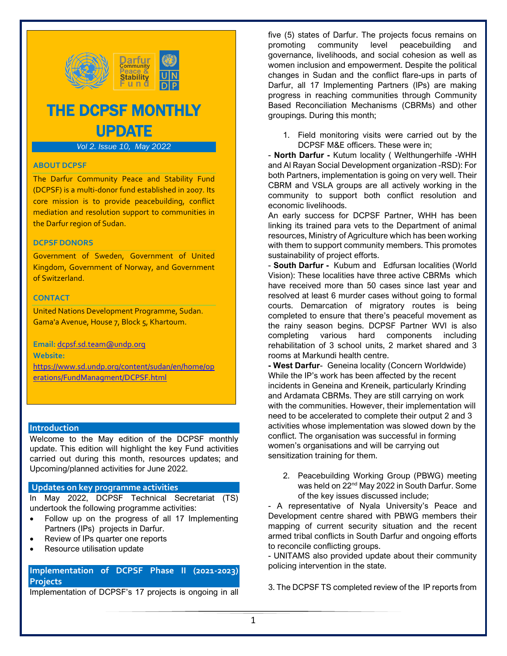

# THE DCPSF MONTHLY UPDATE

# *Vol 2. Issue 10, May 2022*

## **ABOUT DCPSF**

The Darfur Community Peace and Stability Fund (DCPSF) is a multi-donor fund established in 2007. Its core mission is to provide peacebuilding, conflict mediation and resolution support to communities in the Darfur region of Sudan.

#### **DCPSF DONORS**

Government of Sweden, Government of United Kingdom, Government of Norway, and Government of Switzerland.

#### **CONTACT**

United Nations Development Programme, Sudan. Gama'a Avenue, House 7, Block 5, Khartoum.

**Email:** [dcpsf.sd.team@undp.org](mailto:dcpsf.sd.team@undp.org) **Website:**  [https://www.sd.undp.org/content/sudan/en/home/op](https://www.sd.undp.org/content/sudan/en/home/operations/FundManagment/DCPSF.html) [erations/FundManagment/DCPSF.html](https://www.sd.undp.org/content/sudan/en/home/operations/FundManagment/DCPSF.html)

#### **Introduction**

Welcome to the May edition of the DCPSF monthly update. This edition will highlight the key Fund activities carried out during this month, resources updates; and Upcoming/planned activities for June 2022.

#### **Updates on key programme activities**

In May 2022, DCPSF Technical Secretariat (TS) undertook the following programme activities:

- Follow up on the progress of all 17 Implementing Partners (IPs) projects in Darfur.
- Review of IPs quarter one reports
- Resource utilisation update

# **Implementation of DCPSF Phase II (2021-2023) Projects**

Implementation of DCPSF's 17 projects is ongoing in all

five (5) states of Darfur. The projects focus remains on promoting community level peacebuilding and governance, livelihoods, and social cohesion as well as women inclusion and empowerment. Despite the political changes in Sudan and the conflict flare-ups in parts of Darfur, all 17 Implementing Partners (IPs) are making progress in reaching communities through Community Based Reconciliation Mechanisms (CBRMs) and other groupings. During this month;

1. Field monitoring visits were carried out by the DCPSF M&E officers. These were in;

- **North Darfur -** Kutum locality ( Welthungerhilfe -WHH and Al Rayan Social Development organization -RSD): For both Partners, implementation is going on very well. Their CBRM and VSLA groups are all actively working in the community to support both conflict resolution and economic livelihoods.

An early success for DCPSF Partner, WHH has been linking its trained para vets to the Department of animal resources, Ministry of Agriculture which has been working with them to support community members. This promotes sustainability of project efforts.

- **South Darfur -** Kubum and Edfursan localities (World Vision): These localities have three active CBRMs which have received more than 50 cases since last year and resolved at least 6 murder cases without going to formal courts. Demarcation of migratory routes is being completed to ensure that there's peaceful movement as the rainy season begins. DCPSF Partner WVI is also completing various hard components including rehabilitation of 3 school units, 2 market shared and 3 rooms at Markundi health centre.

**- West Darfur**- Geneina locality (Concern Worldwide) While the IP's work has been affected by the recent incidents in Geneina and Kreneik, particularly Krinding and Ardamata CBRMs. They are still carrying on work with the communities. However, their implementation will need to be accelerated to complete their output 2 and 3 activities whose implementation was slowed down by the conflict. The organisation was successful in forming women's organisations and will be carrying out sensitization training for them.

2. Peacebuilding Working Group (PBWG) meeting was held on 22<sup>nd</sup> May 2022 in South Darfur. Some of the key issues discussed include;

- A representative of Nyala University's Peace and Development centre shared with PBWG members their mapping of current security situation and the recent armed tribal conflicts in South Darfur and ongoing efforts to reconcile conflicting groups.

- UNITAMS also provided update about their community policing intervention in the state.

3. The DCPSF TS completed review of the IP reports from